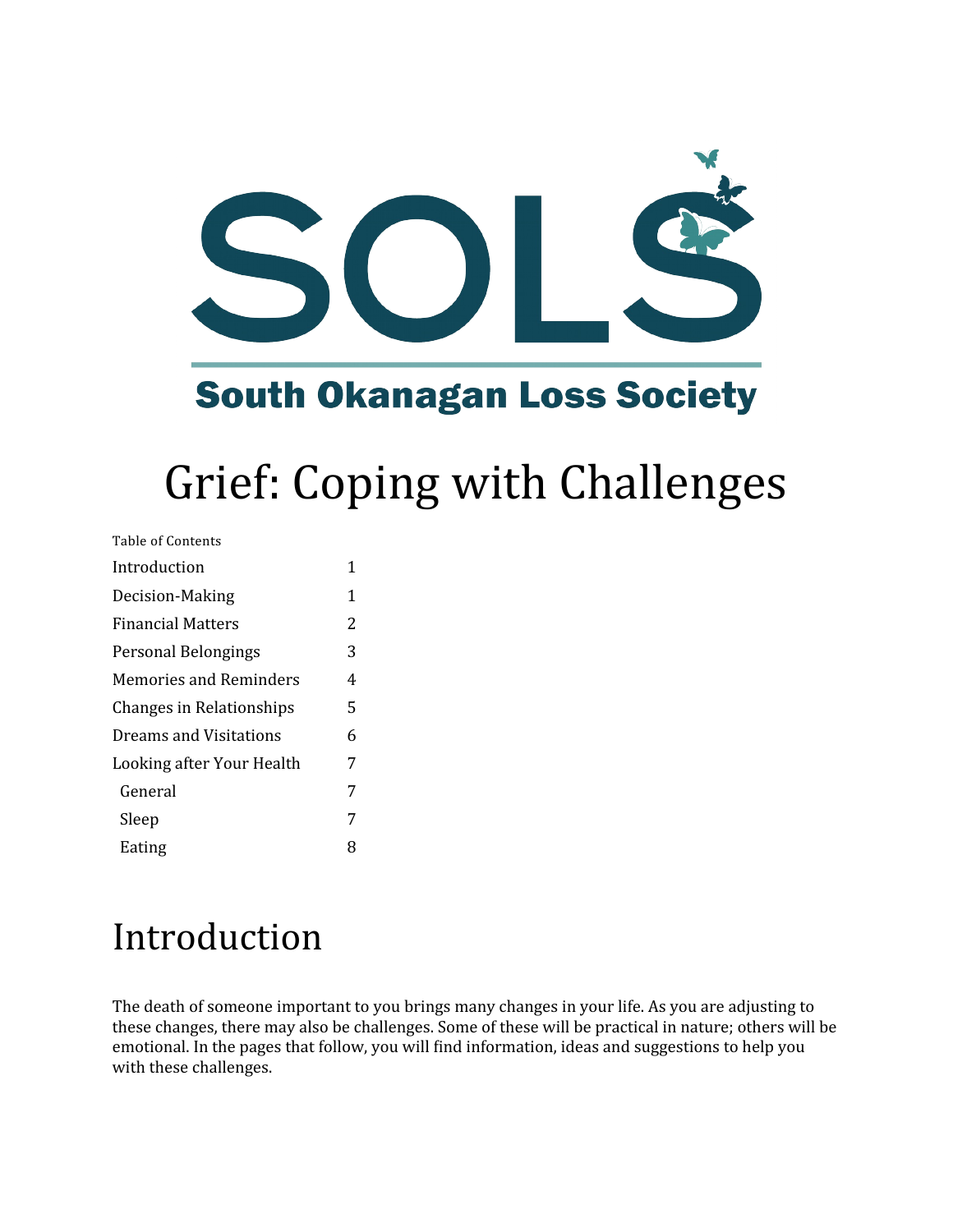

**South Okanagan Loss Society** 

# Grief: Coping with Challenges

| Table of Contents               |   |
|---------------------------------|---|
| Introduction                    | 1 |
| Decision-Making                 | 1 |
| <b>Financial Matters</b>        | 2 |
| Personal Belongings             | 3 |
| Memories and Reminders          | 4 |
| <b>Changes in Relationships</b> | 5 |
| Dreams and Visitations          | 6 |
| Looking after Your Health       | 7 |
| General                         | 7 |
| Sleep                           | 7 |
| Eating                          | 8 |

## Introduction

The death of someone important to you brings many changes in your life. As you are adjusting to these changes, there may also be challenges. Some of these will be practical in nature; others will be emotional. In the pages that follow, you will find information, ideas and suggestions to help you with these challenges.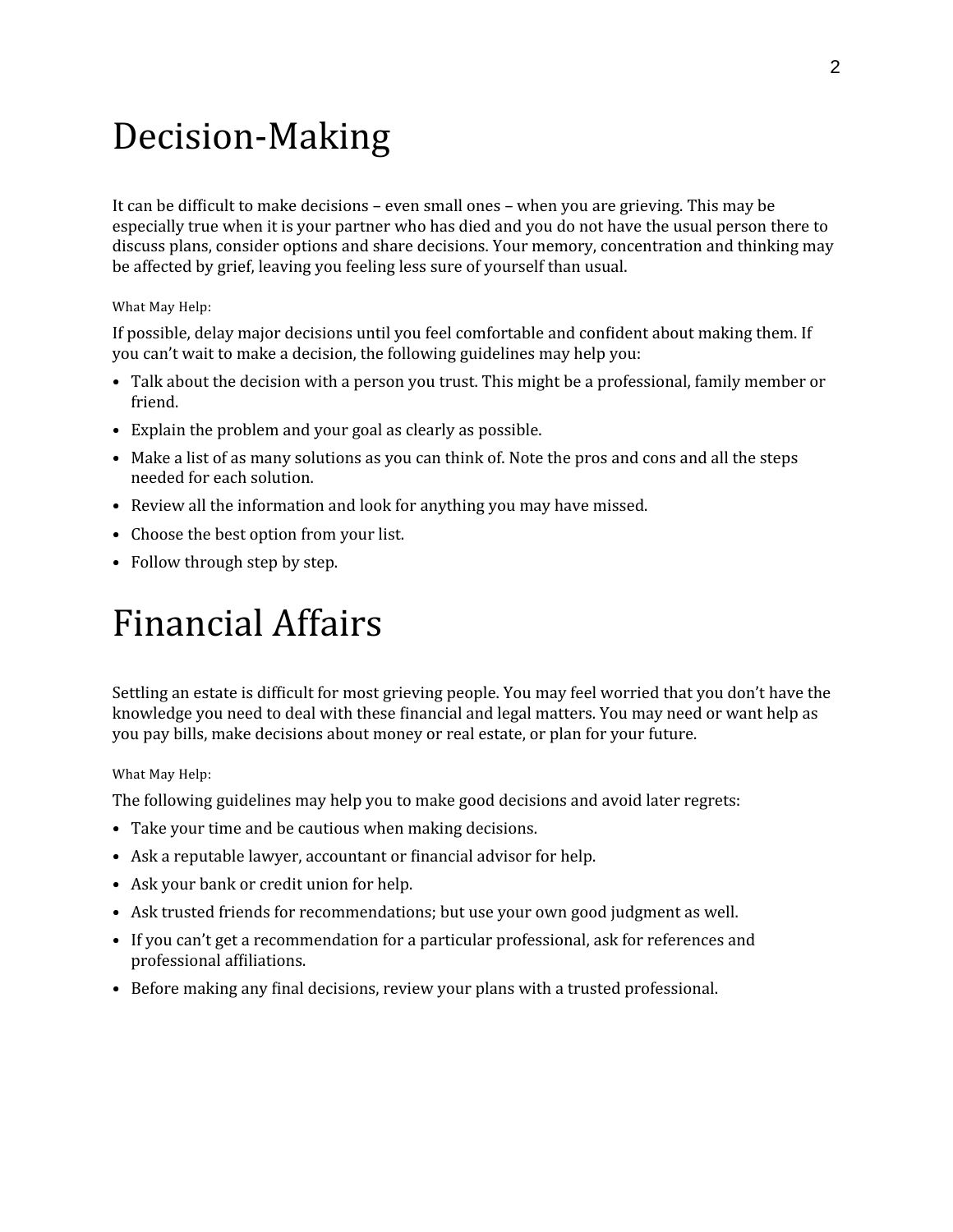### Decision-Making

It can be difficult to make decisions – even small ones – when you are grieving. This may be especially true when it is your partner who has died and you do not have the usual person there to discuss plans, consider options and share decisions. Your memory, concentration and thinking may be affected by grief, leaving you feeling less sure of yourself than usual.

#### What May Help:

If possible, delay major decisions until you feel comfortable and confident about making them. If you can't wait to make a decision, the following guidelines may help you:

- Talk about the decision with a person you trust. This might be a professional, family member or friend.
- Explain the problem and your goal as clearly as possible.
- Make a list of as many solutions as you can think of. Note the pros and cons and all the steps needed for each solution.
- Review all the information and look for anything you may have missed.
- Choose the best option from your list.
- Follow through step by step.

### Financial Affairs

Settling an estate is difficult for most grieving people. You may feel worried that you don't have the knowledge you need to deal with these financial and legal matters. You may need or want help as you pay bills, make decisions about money or real estate, or plan for your future.

#### What May Help:

The following guidelines may help you to make good decisions and avoid later regrets:

- Take your time and be cautious when making decisions.
- Ask a reputable lawyer, accountant or financial advisor for help.
- Ask your bank or credit union for help.
- Ask trusted friends for recommendations; but use your own good judgment as well.
- If you can't get a recommendation for a particular professional, ask for references and professional affiliations.
- Before making any final decisions, review your plans with a trusted professional.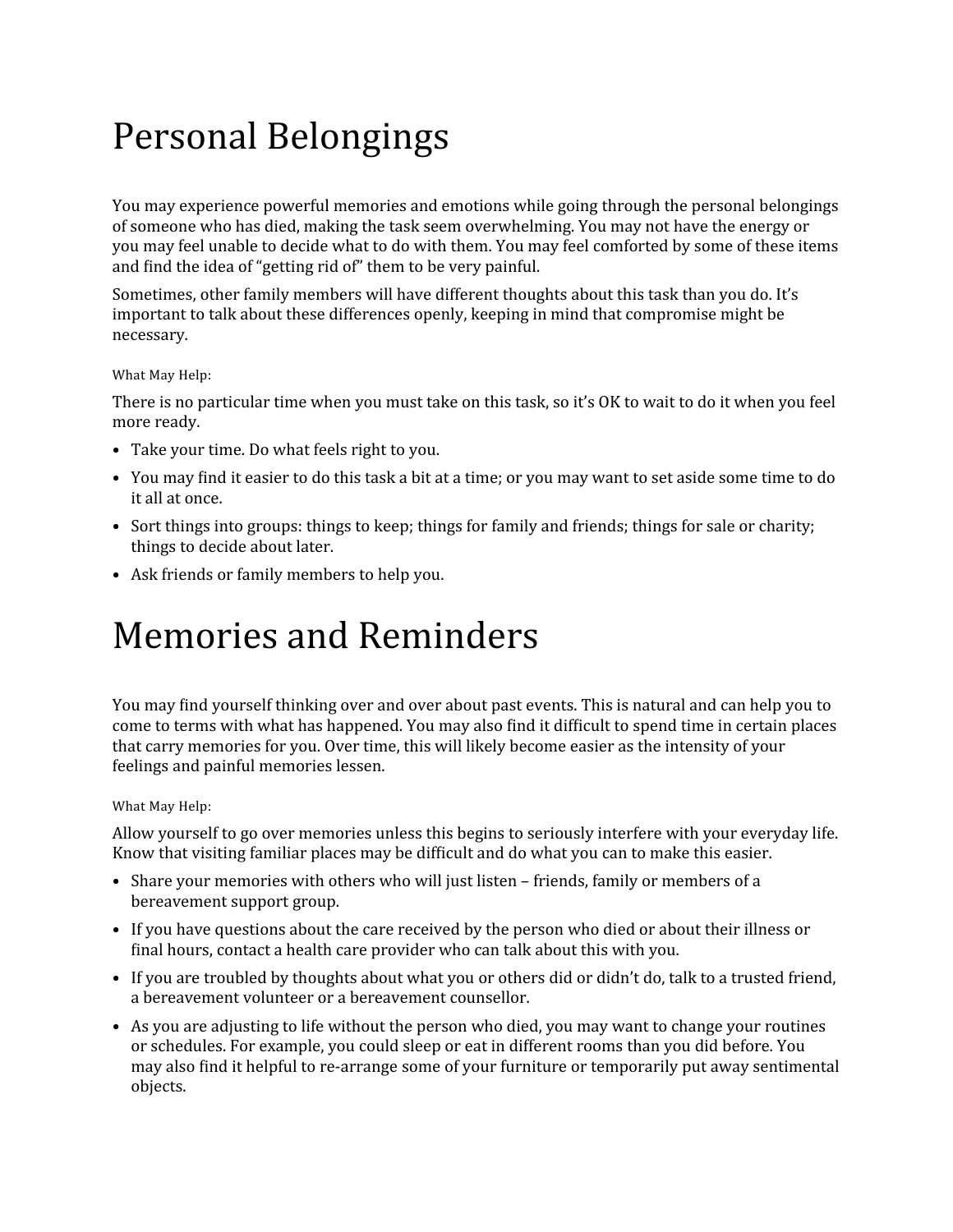# Personal Belongings

You may experience powerful memories and emotions while going through the personal belongings of someone who has died, making the task seem overwhelming. You may not have the energy or you may feel unable to decide what to do with them. You may feel comforted by some of these items and find the idea of "getting rid of" them to be very painful.

Sometimes, other family members will have different thoughts about this task than you do. It's important to talk about these differences openly, keeping in mind that compromise might be necessary.

#### What May Help:

There is no particular time when you must take on this task, so it's OK to wait to do it when you feel more ready.

- Take your time. Do what feels right to you.
- You may find it easier to do this task a bit at a time; or you may want to set aside some time to do it all at once.
- Sort things into groups: things to keep; things for family and friends; things for sale or charity; things to decide about later.
- Ask friends or family members to help you.

### Memories and Reminders

You may find yourself thinking over and over about past events. This is natural and can help you to come to terms with what has happened. You may also find it difficult to spend time in certain places that carry memories for you. Over time, this will likely become easier as the intensity of your feelings and painful memories lessen.

#### What May Help:

Allow yourself to go over memories unless this begins to seriously interfere with your everyday life. Know that visiting familiar places may be difficult and do what you can to make this easier.

- Share your memories with others who will just listen friends, family or members of a bereavement support group.
- If you have questions about the care received by the person who died or about their illness or final hours, contact a health care provider who can talk about this with you.
- If you are troubled by thoughts about what you or others did or didn't do, talk to a trusted friend, a bereavement volunteer or a bereavement counsellor.
- As you are adjusting to life without the person who died, you may want to change your routines or schedules. For example, you could sleep or eat in different rooms than you did before. You may also find it helpful to re-arrange some of your furniture or temporarily put away sentimental objects.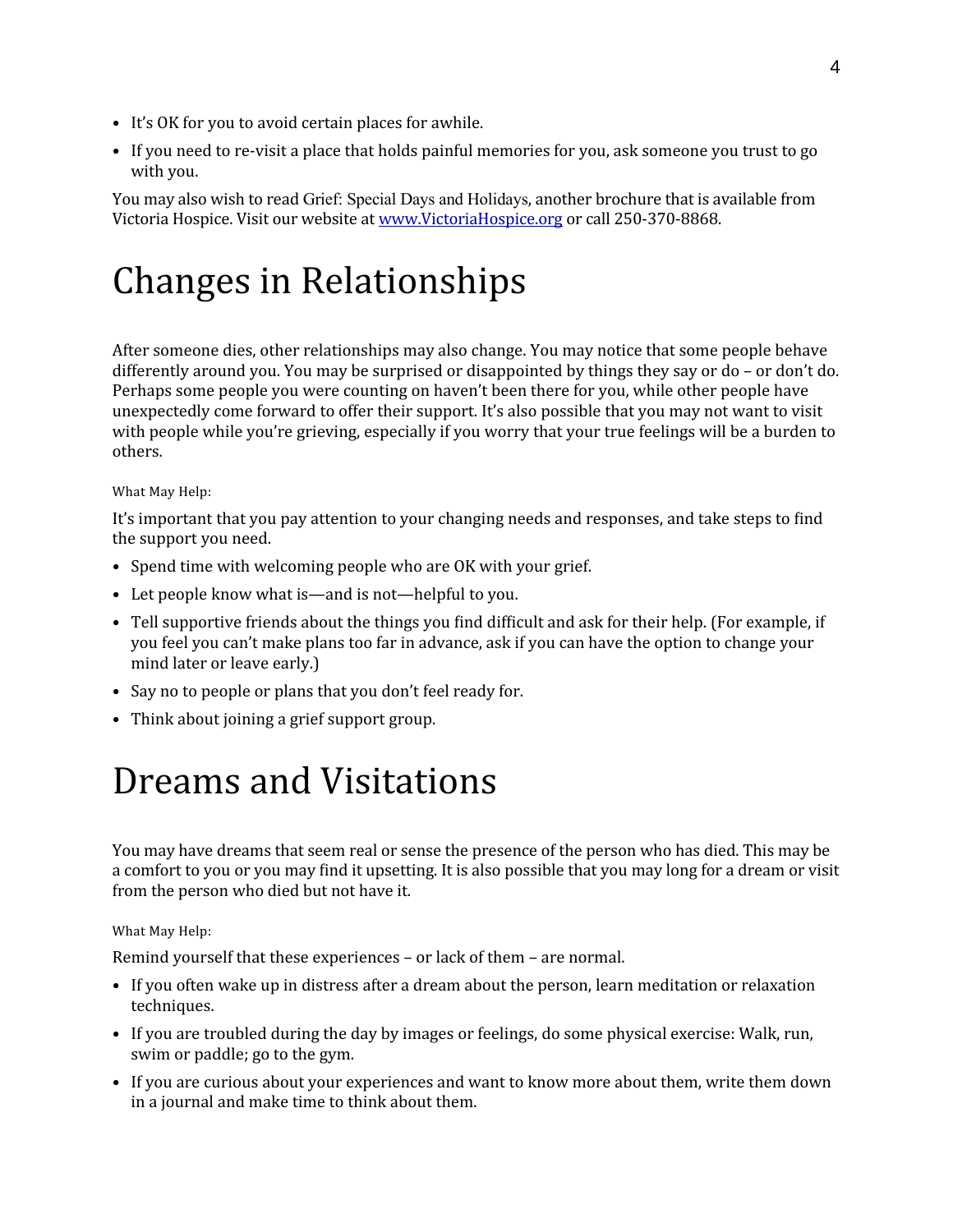- It's OK for you to avoid certain places for awhile.
- If you need to re-visit a place that holds painful memories for you, ask someone you trust to go with you.

You may also wish to read Grief: Special Days and Holidays, another brochure that is available from Victoria Hospice. Visit our website at [www.VictoriaHospice.org](http://www.VictoriaHospice.org/) or call 250-370-8868.

# Changes in Relationships

After someone dies, other relationships may also change. You may notice that some people behave differently around you. You may be surprised or disappointed by things they say or do – or don't do. Perhaps some people you were counting on haven't been there for you, while other people have unexpectedly come forward to offer their support. It's also possible that you may not want to visit with people while you're grieving, especially if you worry that your true feelings will be a burden to others.

#### What May Help:

It's important that you pay attention to your changing needs and responses, and take steps to find the support you need.

- Spend time with welcoming people who are OK with your grief.
- Let people know what is—and is not—helpful to you.
- Tell supportive friends about the things you find difficult and ask for their help. (For example, if you feel you can't make plans too far in advance, ask if you can have the option to change your mind later or leave early.)
- Say no to people or plans that you don't feel ready for.
- Think about joining a grief support group.

### Dreams and Visitations

You may have dreams that seem real or sense the presence of the person who has died. This may be a comfort to you or you may find it upsetting. It is also possible that you may long for a dream or visit from the person who died but not have it.

What May Help:

Remind yourself that these experiences – or lack of them – are normal.

- If you often wake up in distress after a dream about the person, learn meditation or relaxation techniques.
- If you are troubled during the day by images or feelings, do some physical exercise: Walk, run, swim or paddle; go to the gym.
- If you are curious about your experiences and want to know more about them, write them down in a journal and make time to think about them.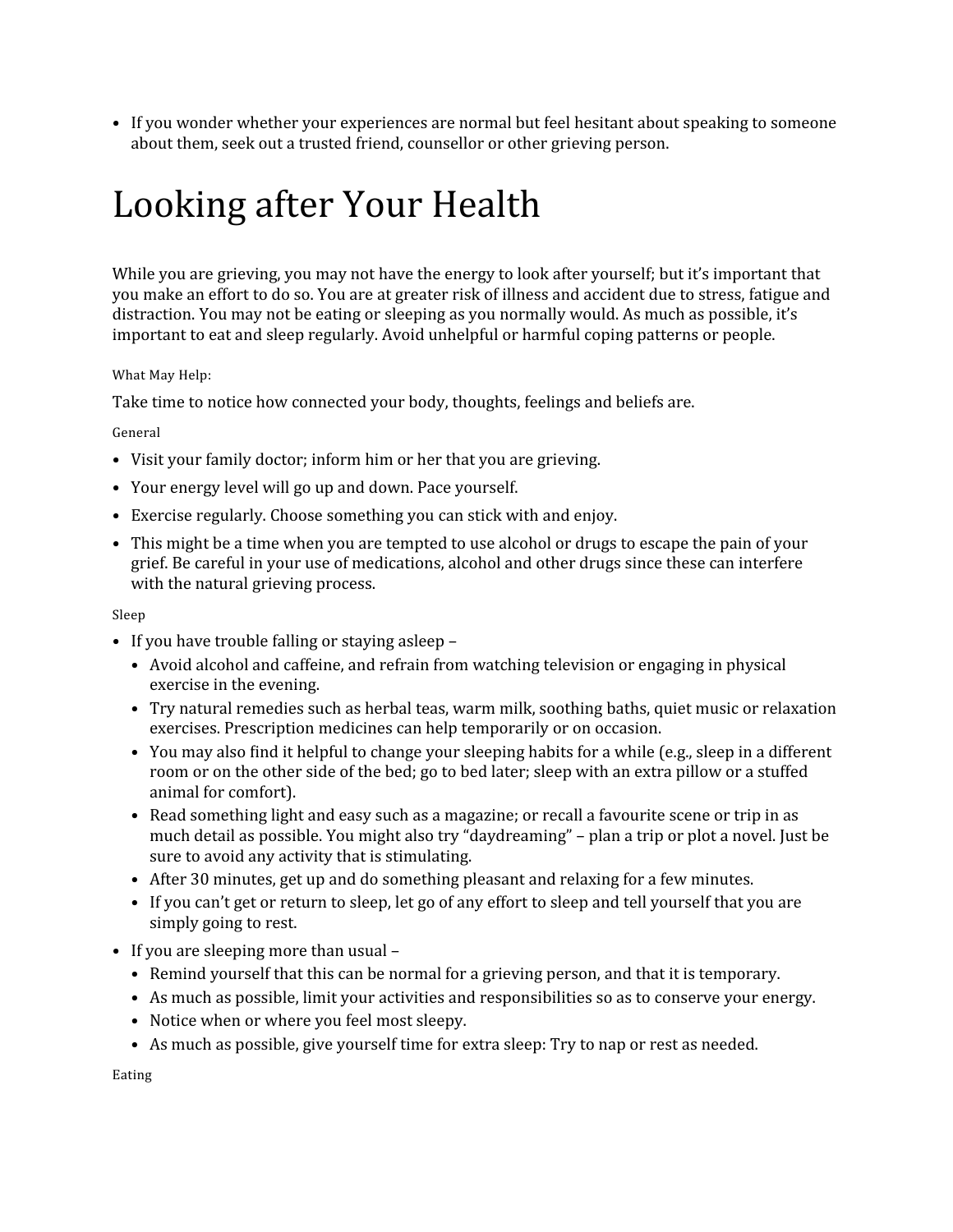• If you wonder whether your experiences are normal but feel hesitant about speaking to someone about them, seek out a trusted friend, counsellor or other grieving person.

# Looking after Your Health

While you are grieving, you may not have the energy to look after yourself; but it's important that you make an effort to do so. You are at greater risk of illness and accident due to stress, fatigue and distraction. You may not be eating or sleeping as you normally would. As much as possible, it's important to eat and sleep regularly. Avoid unhelpful or harmful coping patterns or people.

#### What May Help:

Take time to notice how connected your body, thoughts, feelings and beliefs are.

#### General

- Visit your family doctor; inform him or her that you are grieving.
- Your energy level will go up and down. Pace yourself.
- Exercise regularly. Choose something you can stick with and enjoy.
- This might be a time when you are tempted to use alcohol or drugs to escape the pain of your grief. Be careful in your use of medications, alcohol and other drugs since these can interfere with the natural grieving process.

#### Sleep

- If you have trouble falling or staying asleep
	- Avoid alcohol and caffeine, and refrain from watching television or engaging in physical exercise in the evening.
	- Try natural remedies such as herbal teas, warm milk, soothing baths, quiet music or relaxation exercises. Prescription medicines can help temporarily or on occasion.
	- You may also find it helpful to change your sleeping habits for a while (e.g., sleep in a different room or on the other side of the bed; go to bed later; sleep with an extra pillow or a stuffed animal for comfort).
	- Read something light and easy such as a magazine; or recall a favourite scene or trip in as much detail as possible. You might also try "daydreaming" – plan a trip or plot a novel. Just be sure to avoid any activity that is stimulating.
	- After 30 minutes, get up and do something pleasant and relaxing for a few minutes.
	- If you can't get or return to sleep, let go of any effort to sleep and tell yourself that you are simply going to rest.
- If you are sleeping more than usual
	- Remind yourself that this can be normal for a grieving person, and that it is temporary.
	- As much as possible, limit your activities and responsibilities so as to conserve your energy.
	- Notice when or where you feel most sleepy.
	- As much as possible, give yourself time for extra sleep: Try to nap or rest as needed.

Eating